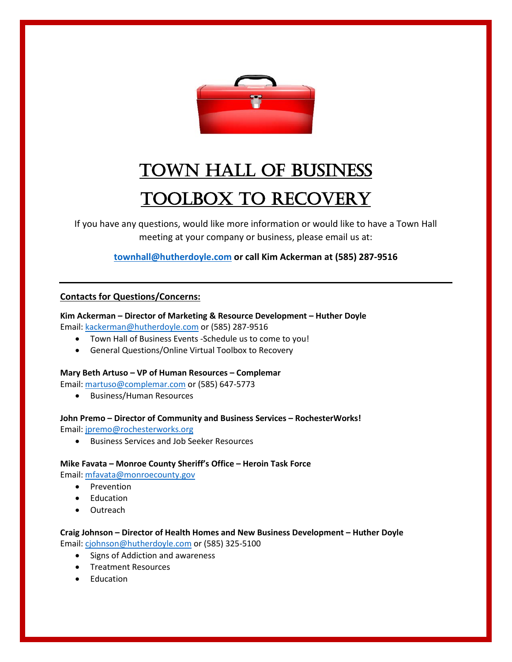

# Town Hall of Business Toolbox to Recovery

If you have any questions, would like more information or would like to have a Town Hall meeting at your company or business, please email us at:

**[townhall@hutherdoyle.com](mailto:townhall@hutherdoyle.com) or call Kim Ackerman at (585) 287-9516**

## **Contacts for Questions/Concerns:**

**Kim Ackerman – Director of Marketing & Resource Development – Huther Doyle** Email: [kackerman@hutherdoyle.com](mailto:kackerman@hutherdoyle.com) or (585) 287-9516

- Town Hall of Business Events -Schedule us to come to you!
- General Questions/Online Virtual Toolbox to Recovery

### **Mary Beth Artuso – VP of Human Resources – Complemar**

Email: [martuso@complemar.com](mailto:martuso@complemar.com) or (585) 647-5773

• Business/Human Resources

### **John Premo – Director of Community and Business Services – RochesterWorks!**

Email: [jpremo@rochesterworks.org](mailto:jpremo@rochesterworks.org)

• Business Services and Job Seeker Resources

### **Mike Favata – Monroe County Sheriff's Office – Heroin Task Force**

Email: [mfavata@monroecounty.gov](mailto:mfavata@monroecounty.gov)

- Prevention
- Education
- **Outreach**

# **Craig Johnson – Director of Health Homes and New Business Development – Huther Doyle** Email: [cjohnson@hutherdoyle.com](mailto:cjohnson@hutherdoyle.com) or (585) 325-5100

- Signs of Addiction and awareness
- Treatment Resources
- Education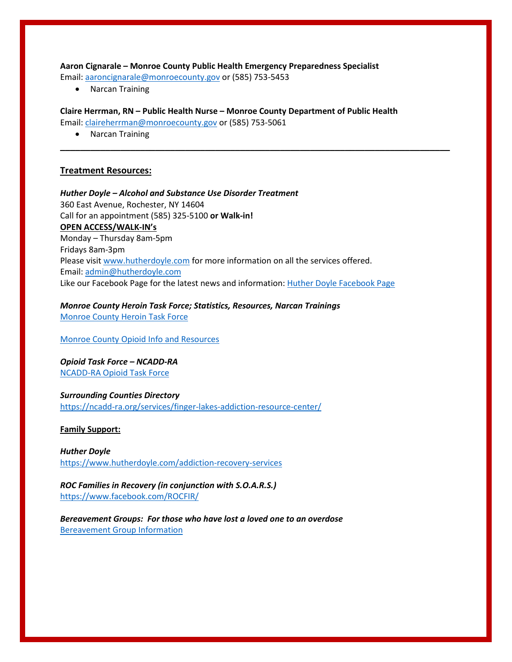**Aaron Cignarale – Monroe County Public Health Emergency Preparedness Specialist** Email: [aaroncignarale@monroecounty.gov](mailto:aaroncignarale@monroecounty.gov) or (585) 753-5453

• Narcan Training

**Claire Herrman, RN – Public Health Nurse – Monroe County Department of Public Health**

**\_\_\_\_\_\_\_\_\_\_\_\_\_\_\_\_\_\_\_\_\_\_\_\_\_\_\_\_\_\_\_\_\_\_\_\_\_\_\_\_\_\_\_\_\_\_\_\_\_\_\_\_\_\_\_\_\_\_\_\_\_\_\_\_\_\_\_\_\_\_\_\_\_\_\_\_\_\_**

Email: [claireherrman@monroecounty.gov](mailto:claireherrman@monroecounty.gov) or (585) 753-5061

• Narcan Training

#### **Treatment Resources:**

*Huther Doyle – Alcohol and Substance Use Disorder Treatment* 360 East Avenue, Rochester, NY 14604 Call for an appointment (585) 325-5100 **or Walk-in! OPEN ACCESS/WALK-IN's** Monday – Thursday 8am-5pm Fridays 8am-3pm Please visi[t www.hutherdoyle.com](http://www.hutherdoyle.com/) for more information on all the services offered. Email: [admin@hutherdoyle.com](mailto:admin@hutherdoyle.com) Like our Facebook Page for the latest news and information[: Huther Doyle Facebook Page](https://www.facebook.com/HutherDoyle/)

*Monroe County Heroin Task Force; Statistics, Resources, Narcan Trainings* [Monroe County Heroin Task Force](https://www2.monroecounty.gov/sheriff-heroin-task-force)

Monroe County [Opioid Info and Resources](https://www.monroecounty.gov/opioids/)

*Opioid Task Force – NCADD-RA* [NCADD-RA Opioid Task Force](https://ncadd-ra.org/resources/opioid-task-force-of-monroe-county/)

*Surrounding Counties Directory* <https://ncadd-ra.org/services/finger-lakes-addiction-resource-center/>

**Family Support:** 

*Huther Doyle* <https://www.hutherdoyle.com/addiction-recovery-services>

*ROC Families in Recovery (in conjunction with S.O.A.R.S.)* <https://www.facebook.com/ROCFIR/>

*Bereavement Groups: For those who have lost a loved one to an overdose* [Bereavement Group Information](https://docs.wixstatic.com/ugd/481d37_ff774b29e38846f08c30f366d6387c37.pdf)